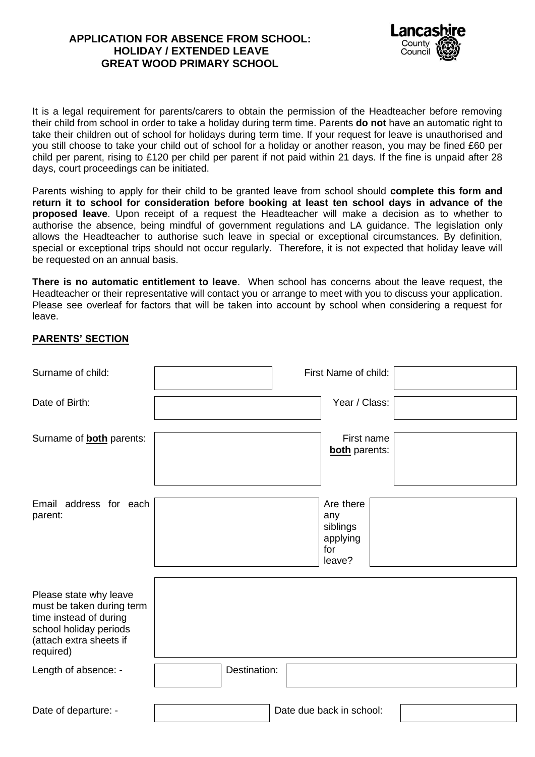## **APPLICATION FOR ABSENCE FROM SCHOOL: HOLIDAY / EXTENDED LEAVE GREAT WOOD PRIMARY SCHOOL**



It is a legal requirement for parents/carers to obtain the permission of the Headteacher before removing their child from school in order to take a holiday during term time. Parents **do not** have an automatic right to take their children out of school for holidays during term time. If your request for leave is unauthorised and you still choose to take your child out of school for a holiday or another reason, you may be fined £60 per child per parent, rising to £120 per child per parent if not paid within 21 days. If the fine is unpaid after 28 days, court proceedings can be initiated.

Parents wishing to apply for their child to be granted leave from school should **complete this form and return it to school for consideration before booking at least ten school days in advance of the proposed leave**. Upon receipt of a request the Headteacher will make a decision as to whether to authorise the absence, being mindful of government regulations and LA guidance. The legislation only allows the Headteacher to authorise such leave in special or exceptional circumstances. By definition, special or exceptional trips should not occur regularly. Therefore, it is not expected that holiday leave will be requested on an annual basis.

**There is no automatic entitlement to leave**. When school has concerns about the leave request, the Headteacher or their representative will contact you or arrange to meet with you to discuss your application. Please see overleaf for factors that will be taken into account by school when considering a request for leave.

## **PARENTS' SECTION**

| Surname of child:                                                                                                                               | First Name of child:                                      |
|-------------------------------------------------------------------------------------------------------------------------------------------------|-----------------------------------------------------------|
| Date of Birth:                                                                                                                                  | Year / Class:                                             |
| Surname of <b>both</b> parents:                                                                                                                 | First name<br><b>both</b> parents:                        |
| Email address for each<br>parent:                                                                                                               | Are there<br>any<br>siblings<br>applying<br>for<br>leave? |
| Please state why leave<br>must be taken during term<br>time instead of during<br>school holiday periods<br>(attach extra sheets if<br>required) |                                                           |
| Length of absence: -                                                                                                                            | Destination:                                              |
| Date of departure: -                                                                                                                            | Date due back in school:                                  |